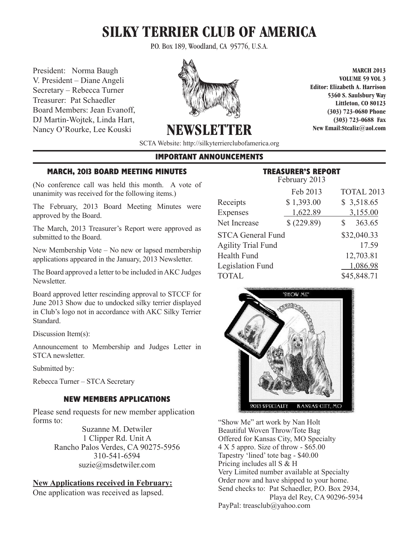# **SILKY TERRIER CLUB OF AMERICA**

P.O. Box 189, Woodland, CA 95776, U.S.A.

President: Norma Baugh V. President – Diane Angeli Secretary – Rebecca Turner Treasurer: Pat Schaedler Board Members: Jean Evanoff, **President Baugh Voltage 1986** (303) 723-06 **DJ** Martin-Wojtek, Linda Hart, **V. President and Angeli Editor C**  $\frac{d^2y}{dx^3}$  (303) 723 Nancy O'Rourke, Lee Kouski



**Treasurer:** Path School School School School School School School School School School School School School School School School School School School School School School School School School School School School School S **Secretary – Rebecca Turner Elizabeth A. Harrison**

**MARCH 2013 VOLUME 59 VOL 3 Editor: Elizabeth A. Harrison 5360 S. Saulsbury Way Littleton, CO 80123 (303) 723-0680 Phone (303) 723-0688 Fax New Email:Stcaliz@aol.com**   $\frac{1}{2}$  March 2013 **C** and 2013 **C** and 2013 **C** and 2013 **C** and 2013 **C** and 2013 **C** and 2013 **C** and 2013 **C** and 2013 **C** and 2013 **C** and 2013 **C** and 2013 **C** and 2013 **C** and 2013 **C** and 2013 **C** and 2013 **C** a

**SCTA Website: http://silkyterrierclubofamerica.org**  $\mathbf{B}$   $\mathbf{B}$   $\mathbf{B}$   $\mathbf{B}$   $\mathbf{B}$   $\mathbf{B}$   $\mathbf{B}$   $\mathbf{B}$   $\mathbf{B}$   $\mathbf{B}$   $\mathbf{B}$   $\mathbf{B}$   $\mathbf{B}$   $\mathbf{B}$   $\mathbf{B}$   $\mathbf{B}$   $\mathbf{B}$   $\mathbf{B}$   $\mathbf{B}$   $\mathbf{B}$   $\mathbf{B}$   $\mathbf{B}$   $\mathbf{B}$   $\mathbf{B}$   $\mathbf{$ **Nancy O'Rourke, Lee Kouski (303) 723-0688 Fax**

#### **IMPORTANT ANNOUNCEMENTS STCA Website: http://silkyterrierclubofamerica.org**

#### **MARCH, 2013 BOARD MEETING MINUTES**

(No conference call was held this month. A vote of unanimity was received for the following items.)

The February, 2013 Board Meeting Minutes were approved by the Board.

The March, 2013 Treasurer's Report were approved as submitted to the Board.

New Membership Vote - No new or lapsed membership applications appeared in the January, 2013 Newsletter.

The Board approved a letter to be included in AKC Judges Newsletter. a approved a letter to be included in  $\rm{AKC}$  .

Board approved letter rescinding approval to STCCF for June 2013 Show due to undocked silky terrier displayed in Club's logo not in accordance with AKC Silky Terrier Standard. logo not in accordance with AKC Silky Terrier Standard.

Discussion Item(s): Discussion Item(s):  $\sum_{i=1}^{\infty}$  and  $\sum_{i=1}^{\infty}$ 

Announcement to Membership and Judges Letter in STCA newsletter.

Submitted by: Submitted by:  $d$  by:

Rebecca Turner – STCA Secretary

## **NEW MEMBERS APPLICATIONS NEW MEMBERS APPLICATIONS**

Please send requests for new member application forms to:

> Suzanne M. Detwiler 1 Clipper Rd. Unit A Rancho Palos Verdes, CA 90275-5956 310-541-6594 suzie@msdetwiler.com  $\overline{3}$ 10.0111  $suZ$ ie $\omega$ msdetwiier.co

**New Applications received in February:**

One application was received as lapsed.

#### **TREASURER'S REPORT** February 2013

| Feb 2013                  | TOTAL 2013                     |
|---------------------------|--------------------------------|
| \$1,393.00                | \$3,518.65                     |
| 1,622.89                  | 3,155.00                       |
| \$ (229.89)               | 363.65<br>S                    |
| <b>STCA General Fund</b>  | \$32,040.33                    |
| <b>Agility Trial Fund</b> | 17.59                          |
|                           | 12,703.81                      |
|                           | 1,086.98                       |
|                           | \$45,848.71                    |
|                           | $\Gamma$ CUI UAI $\gamma$ 2013 |



"Show Me" art work by Nan Holt Beautiful Woven Throw/Tote Bag Offered for Kansas City, MO Specialty  $4 \times 5$  appro. Size of throw  $-$  \$65.00 Tapestry 'lined' tote bag - \$40.00 Tapestry 'lined' tote bag - \$40.00 Pricing includes all S  $\&$  H Very Limited number available at Specialty Very Limited number available at Specialty Order now and have shipped to your home. Send checks to: Pat Schaedler, P.O. Box 2934, Playa del Rey, CA 90296-5934 PayPal: treasclub@yahoo.com  $4 \times 5$  appro. Size of throw Very Limited number available  $P_{\text{max}}$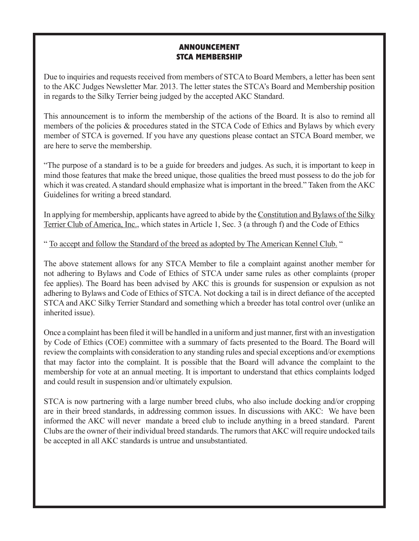## **ANNOUNCEMENT STCA MEMBERSHIP**

Due to inquiries and requests received from members of STCA to Board Members, a letter has been sent to the AKC Judges Newsletter Mar. 2013. The letter states the STCA's Board and Membership position in regards to the Silky Terrier being judged by the accepted AKC Standard.

This announcement is to inform the membership of the actions of the Board. It is also to remind all members of the policies  $&$  procedures stated in the STCA Code of Ethics and Bylaws by which every member of STCA is governed. If you have any questions please contact an STCA Board member, we are here to serve the membership.

"The purpose of a standard is to be a guide for breeders and judges. As such, it is important to keep in mind those features that make the breed unique, those qualities the breed must possess to do the job for which it was created. A standard should emphasize what is important in the breed." Taken from the AKC Guidelines for writing a breed standard.

In applying for membership, applicants have agreed to abide by the Constitution and Bylaws of the Silky Terrier Club of America, Inc., which states in Article 1, Sec. 3 (a through f) and the Code of Ethics

" To accept and follow the Standard of the breed as adopted by The American Kennel Club. "

The above statement allows for any STCA Member to file a complaint against another member for not adhering to Bylaws and Code of Ethics of STCA under same rules as other complaints (proper fee applies). The Board has been advised by AKC this is grounds for suspension or expulsion as not adhering to Bylaws and Code of Ethics of STCA. Not docking a tail is in direct defiance of the accepted STCA and AKC Silky Terrier Standard and something which a breeder has total control over (unlike an inherited issue).

Once a complaint has been filed it will be handled in a uniform and just manner, first with an investigation by Code of Ethics (COE) committee with a summary of facts presented to the Board. The Board will review the complaints with consideration to any standing rules and special exceptions and/or exemptions that may factor into the complaint. It is possible that the Board will advance the complaint to the membership for vote at an annual meeting. It is important to understand that ethics complaints lodged and could result in suspension and/or ultimately expulsion.

STCA is now partnering with a large number breed clubs, who also include docking and/or cropping are in their breed standards, in addressing common issues. In discussions with AKC: We have been informed the AKC will never mandate a breed club to include anything in a breed standard. Parent Clubs are the owner of their individual breed standards. The rumors that AKC will require undocked tails be accepted in all AKC standards is untrue and unsubstantiated.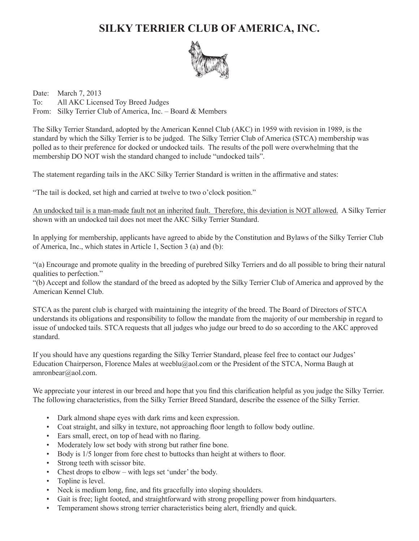## **SILKY TERRIER CLUB OF AMERICA, INC.**



Date: March 7, 2013 To: All AKC Licensed Toy Breed Judges From: Silky Terrier Club of America, Inc. – Board & Members

The Silky Terrier Standard, adopted by the American Kennel Club (AKC) in 1959 with revision in 1989, is the standard by which the Silky Terrier is to be judged. The Silky Terrier Club of America (STCA) membership was polled as to their preference for docked or undocked tails. The results of the poll were overwhelming that the membership DO NOT wish the standard changed to include "undocked tails".

The statement regarding tails in the AKC Silky Terrier Standard is written in the affirmative and states:

"The tail is docked, set high and carried at twelve to two o'clock position."

An undocked tail is a man-made fault not an inherited fault. Therefore, this deviation is NOT allowed. A Silky Terrier shown with an undocked tail does not meet the AKC Silky Terrier Standard.

In applying for membership, applicants have agreed to abide by the Constitution and Bylaws of the Silky Terrier Club of America, Inc., which states in Article 1, Section 3 (a) and (b):

"(a) Encourage and promote quality in the breeding of purebred Silky Terriers and do all possible to bring their natural qualities to perfection."

"(b) Accept and follow the standard of the breed as adopted by the Silky Terrier Club of America and approved by the American Kennel Club.

STCA as the parent club is charged with maintaining the integrity of the breed. The Board of Directors of STCA understands its obligations and responsibility to follow the mandate from the majority of our membership in regard to issue of undocked tails. STCA requests that all judges who judge our breed to do so according to the AKC approved standard.

If you should have any questions regarding the Silky Terrier Standard, please feel free to contact our Judges' Education Chairperson, Florence Males at weeblu@aol.com or the President of the STCA, Norma Baugh at amronbear@aol.com.

We appreciate your interest in our breed and hope that you find this clarification helpful as you judge the Silky Terrier. The following characteristics, from the Silky Terrier Breed Standard, describe the essence of the Silky Terrier.

- Dark almond shape eyes with dark rims and keen expression.
- Coat straight, and silky in texture, not approaching floor length to follow body outline.
- Ears small, erect, on top of head with no flaring.
- Moderately low set body with strong but rather fine bone.
- Body is 1/5 longer from fore chest to buttocks than height at withers to floor.
- Strong teeth with scissor bite.
- Chest drops to elbow with legs set 'under' the body.
- Topline is level.
- Neck is medium long, fine, and fits gracefully into sloping shoulders.
- Gait is free; light footed, and straightforward with strong propelling power from hindquarters.
- Temperament shows strong terrier characteristics being alert, friendly and quick.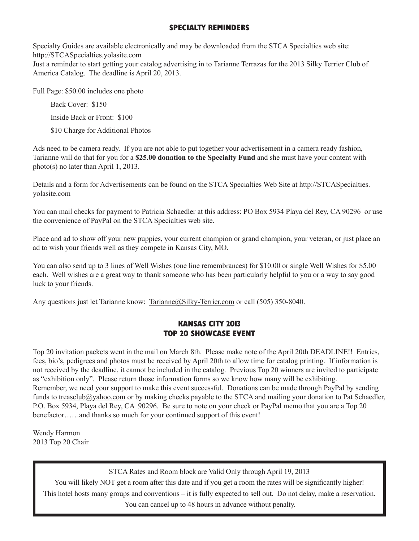### **SPECIALTY REMINDERS**

Specialty Guides are available electronically and may be downloaded from the STCA Specialties web site: http://STCASpecialties.yolasite.com Just a reminder to start getting your catalog advertising in to Tarianne Terrazas for the 2013 Silky Terrier Club of America Catalog. The deadline is April 20, 2013.

Full Page: \$50.00 includes one photo

Back Cover: \$150

Inside Back or Front: \$100

\$10 Charge for Additional Photos

Ads need to be camera ready. If you are not able to put together your advertisement in a camera ready fashion, Tarianne will do that for you for a **\$25.00 donation to the Specialty Fund** and she must have your content with photo(s) no later than April 1, 2013.

Details and a form for Advertisements can be found on the STCA Specialties Web Site at http://STCASpecialties. yolasite.com

You can mail checks for payment to Patricia Schaedler at this address: PO Box 5934 Playa del Rey, CA 90296 or use the convenience of PayPal on the STCA Specialties web site.

Place and ad to show off your new puppies, your current champion or grand champion, your veteran, or just place an ad to wish your friends well as they compete in Kansas City, MO.

You can also send up to 3 lines of Well Wishes (one line remembrances) for \$10.00 or single Well Wishes for \$5.00 each. Well wishes are a great way to thank someone who has been particularly helpful to you or a way to say good luck to your friends.

Any questions just let Tarianne know: Tarianne@Silky-Terrier.com or call (505) 350-8040.

## **KANSAS CITY 2013 TOP 20 SHOWCASE EVENT**

Top 20 invitation packets went in the mail on March 8th. Please make note of the April 20th DEADLINE!! Entries, fees, bio's, pedigrees and photos must be received by April 20th to allow time for catalog printing. If information is not received by the deadline, it cannot be included in the catalog. Previous Top 20 winners are invited to participate as "exhibition only". Please return those information forms so we know how many will be exhibiting. Remember, we need your support to make this event successful. Donations can be made through PayPal by sending funds to treasclub@yahoo.com or by making checks payable to the STCA and mailing your donation to Pat Schaedler, P.O. Box 5934, Playa del Rey, CA 90296. Be sure to note on your check or PayPal memo that you are a Top 20 benefactor……and thanks so much for your continued support of this event!

Wendy Harmon 2013 Top 20 Chair

STCA Rates and Room block are Valid Only through April 19, 2013

You will likely NOT get a room after this date and if you get a room the rates will be significantly higher! This hotel hosts many groups and conventions – it is fully expected to sell out. Do not delay, make a reservation. You can cancel up to 48 hours in advance without penalty.